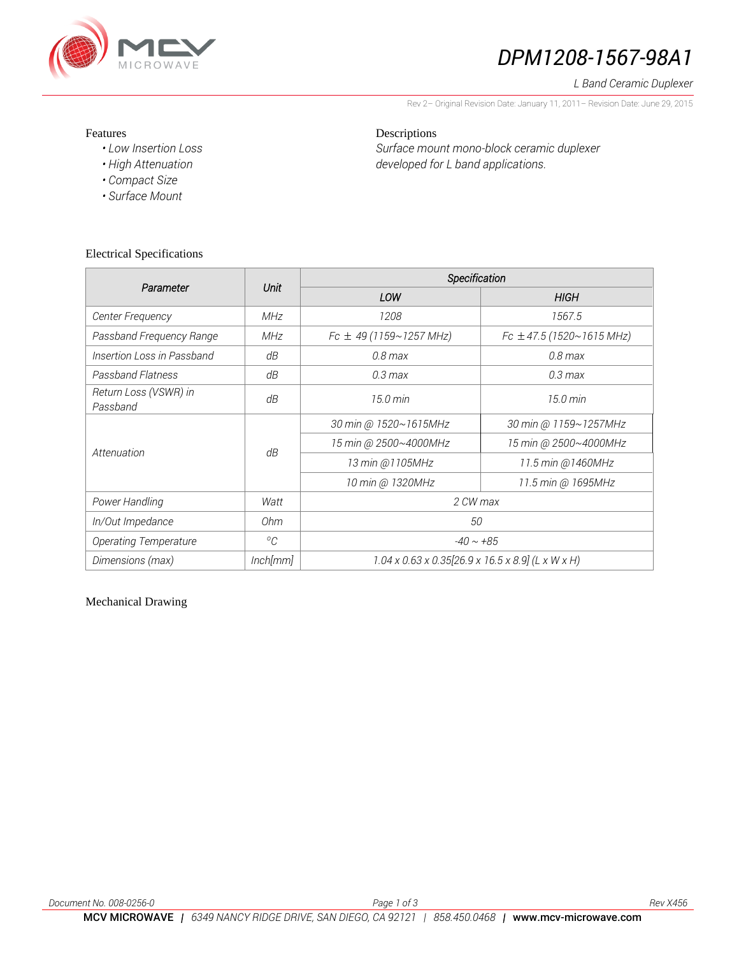

# *DPM1208-1567-98A1*

#### *L Band Ceramic Duplexer*

Rev 2– Original Revision Date: January 11, 2011– Revision Date: June 29, 2015

#### Features

- *Low Insertion Loss*
- *High Attenuation*
- *Compact Size*
- *Surface Mount*

Electrical Specifications

## Descriptions *Surface mount mono-block ceramic duplexer developed for L band applications.*

| Parameter                         |               | Specification                                                           |                               |
|-----------------------------------|---------------|-------------------------------------------------------------------------|-------------------------------|
|                                   | Unit          | LOW                                                                     | <b>HIGH</b>                   |
| Center Frequency                  | <b>MHz</b>    | 1208                                                                    | 1567.5                        |
| Passband Frequency Range          | <b>MHz</b>    | $Fc \pm 49$ (1159~1257 MHz)                                             | Fc $\pm$ 47.5 (1520~1615 MHz) |
| Insertion Loss in Passband        | dB            | $0.8$ max                                                               | $0.8$ max                     |
| Passband Flatness                 | dB            | $0.3 \text{ max}$                                                       | $0.3 \, \text{max}$           |
| Return Loss (VSWR) in<br>Passband | dB            | 15.0 min                                                                | $15.0 \text{ min}$            |
| Attenuation                       | dB            | 30 min @ 1520~1615MHz                                                   | 30 min @ 1159~1257MHz         |
|                                   |               | 15 min @ 2500~4000MHz                                                   | 15 min @ 2500~4000MHz         |
|                                   |               | 13 min @1105MHz                                                         | 11.5 min @1460MHz             |
|                                   |               | 10 min @ 1320MHz                                                        | 11.5 min @ 1695MHz            |
| Power Handling                    | Watt          | 2 CW max                                                                |                               |
| In/Out Impedance                  | 0hm           | 50                                                                      |                               |
| <b>Operating Temperature</b>      | ${}^{\circ}C$ | $-40 \sim +85$                                                          |                               |
| Dimensions (max)                  | Inch[mm]      | $1.04 \times 0.63 \times 0.35[26.9 \times 16.5 \times 8.9]$ (L x W x H) |                               |

## Mechanical Drawing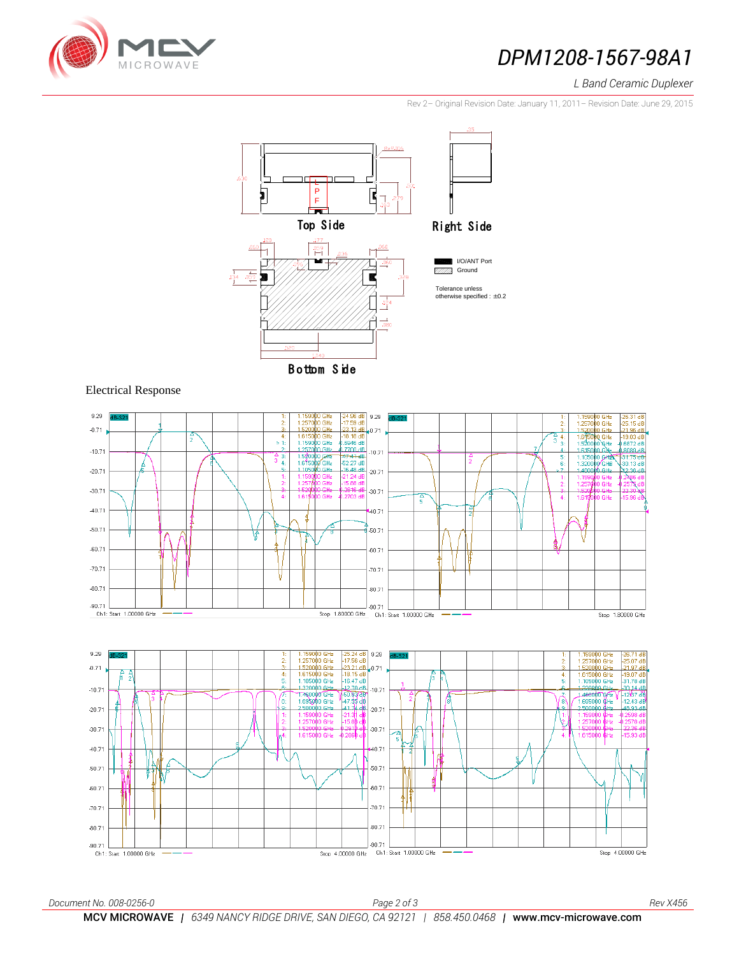

# **DPM1208-1567-98A1**

### *L Band Ceramic Duplexer*

Stop 4.00000 GHz

Rev 2– Original Revision Date: January 11, 2011– Revision Date: June 29, 2015





#### Electrical Response

Ch1: Start 1.00000 GHz



Stop 4.00000 GHz Ch1: Start 1.00000 GHz